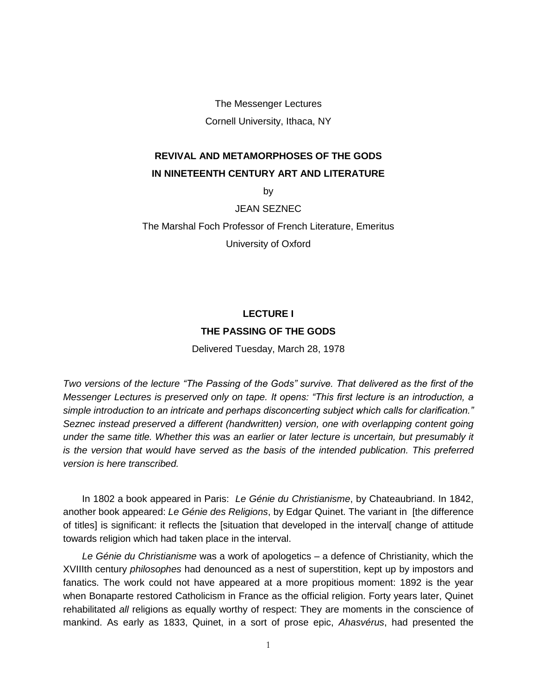The Messenger Lectures Cornell University, Ithaca, NY

## **REVIVAL AND METAMORPHOSES OF THE GODS IN NINETEENTH CENTURY ART AND LITERATURE**

by

JEAN SEZNEC

The Marshal Foch Professor of French Literature, Emeritus University of Oxford

## **LECTURE I THE PASSING OF THE GODS**

Delivered Tuesday, March 28, 1978

*Two versions of the lecture "The Passing of the Gods" survive. That delivered as the first of the Messenger Lectures is preserved only on tape. It opens: "This first lecture is an introduction, a simple introduction to an intricate and perhaps disconcerting subject which calls for clarification." Seznec instead preserved a different (handwritten) version, one with overlapping content going under the same title. Whether this was an earlier or later lecture is uncertain, but presumably it is the version that would have served as the basis of the intended publication. This preferred version is here transcribed.*

In 1802 a book appeared in Paris: *Le Génie du Christianisme*, by Chateaubriand. In 1842, another book appeared: *Le Génie des Religions*, by Edgar Quinet. The variant in [the difference of titles] is significant: it reflects the [situation that developed in the interval[ change of attitude towards religion which had taken place in the interval.

*Le Génie du Christianisme* was a work of apologetics – a defence of Christianity, which the XVIIIth century *philosophes* had denounced as a nest of superstition, kept up by impostors and fanatics. The work could not have appeared at a more propitious moment: 1892 is the year when Bonaparte restored Catholicism in France as the official religion. Forty years later, Quinet rehabilitated *all* religions as equally worthy of respect: They are moments in the conscience of mankind. As early as 1833, Quinet, in a sort of prose epic, *Ahasvérus*, had presented the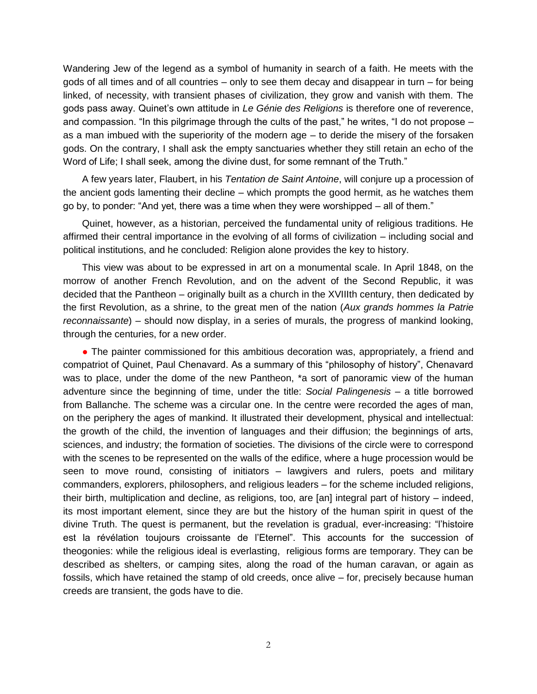Wandering Jew of the legend as a symbol of humanity in search of a faith. He meets with the gods of all times and of all countries – only to see them decay and disappear in turn – for being linked, of necessity, with transient phases of civilization, they grow and vanish with them. The gods pass away. Quinet's own attitude in *Le Génie des Religions* is therefore one of reverence, and compassion. "In this pilgrimage through the cults of the past," he writes, "I do not propose – as a man imbued with the superiority of the modern age – to deride the misery of the forsaken gods. On the contrary, I shall ask the empty sanctuaries whether they still retain an echo of the Word of Life; I shall seek, among the divine dust, for some remnant of the Truth."

A few years later, Flaubert, in his *Tentation de Saint Antoine*, will conjure up a procession of the ancient gods lamenting their decline – which prompts the good hermit, as he watches them go by, to ponder: "And yet, there was a time when they were worshipped – all of them."

Quinet, however, as a historian, perceived the fundamental unity of religious traditions. He affirmed their central importance in the evolving of all forms of civilization – including social and political institutions, and he concluded: Religion alone provides the key to history.

This view was about to be expressed in art on a monumental scale. In April 1848, on the morrow of another French Revolution, and on the advent of the Second Republic, it was decided that the Pantheon – originally built as a church in the XVIIIth century, then dedicated by the first Revolution, as a shrine, to the great men of the nation (*Aux grands hommes la Patrie reconnaissante*) – should now display, in a series of murals, the progress of mankind looking, through the centuries, for a new order.

• The painter commissioned for this ambitious decoration was, appropriately, a friend and compatriot of Quinet, Paul Chenavard. As a summary of this "philosophy of history", Chenavard was to place, under the dome of the new Pantheon, \*a sort of panoramic view of the human adventure since the beginning of time, under the title: *Social Palingenesis* – a title borrowed from Ballanche. The scheme was a circular one. In the centre were recorded the ages of man, on the periphery the ages of mankind. It illustrated their development, physical and intellectual: the growth of the child, the invention of languages and their diffusion; the beginnings of arts, sciences, and industry; the formation of societies. The divisions of the circle were to correspond with the scenes to be represented on the walls of the edifice, where a huge procession would be seen to move round, consisting of initiators – lawgivers and rulers, poets and military commanders, explorers, philosophers, and religious leaders – for the scheme included religions, their birth, multiplication and decline, as religions, too, are [an] integral part of history – indeed, its most important element, since they are but the history of the human spirit in quest of the divine Truth. The quest is permanent, but the revelation is gradual, ever-increasing: "l'histoire est la révélation toujours croissante de l'Eternel". This accounts for the succession of theogonies: while the religious ideal is everlasting, religious forms are temporary. They can be described as shelters, or camping sites, along the road of the human caravan, or again as fossils, which have retained the stamp of old creeds, once alive – for, precisely because human creeds are transient, the gods have to die.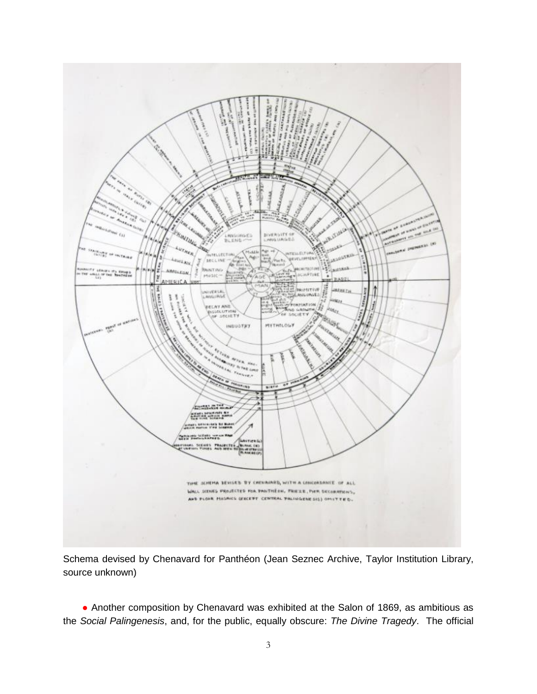

Schema devised by Chenavard for Panthéon (Jean Seznec Archive, Taylor Institution Library, source unknown)

● Another composition by Chenavard was exhibited at the Salon of 1869, as ambitious as the *Social Palingenesis*, and, for the public, equally obscure: *The Divine Tragedy*. The official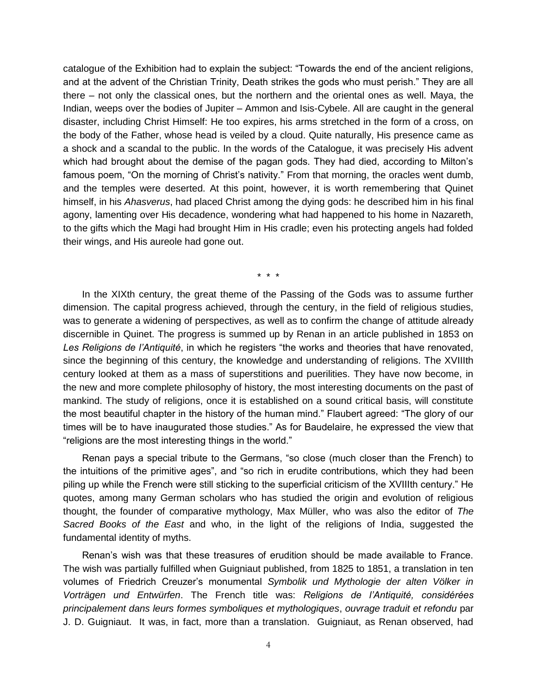catalogue of the Exhibition had to explain the subject: "Towards the end of the ancient religions, and at the advent of the Christian Trinity, Death strikes the gods who must perish." They are all there – not only the classical ones, but the northern and the oriental ones as well. Maya, the Indian, weeps over the bodies of Jupiter – Ammon and Isis-Cybele. All are caught in the general disaster, including Christ Himself: He too expires, his arms stretched in the form of a cross, on the body of the Father, whose head is veiled by a cloud. Quite naturally, His presence came as a shock and a scandal to the public. In the words of the Catalogue, it was precisely His advent which had brought about the demise of the pagan gods. They had died, according to Milton's famous poem, "On the morning of Christ's nativity." From that morning, the oracles went dumb, and the temples were deserted. At this point, however, it is worth remembering that Quinet himself, in his *Ahasverus*, had placed Christ among the dying gods: he described him in his final agony, lamenting over His decadence, wondering what had happened to his home in Nazareth, to the gifts which the Magi had brought Him in His cradle; even his protecting angels had folded their wings, and His aureole had gone out.

\* \* \*

In the XIXth century, the great theme of the Passing of the Gods was to assume further dimension. The capital progress achieved, through the century, in the field of religious studies, was to generate a widening of perspectives, as well as to confirm the change of attitude already discernible in Quinet. The progress is summed up by Renan in an article published in 1853 on *Les Religions de l'Antiquité*, in which he registers "the works and theories that have renovated, since the beginning of this century, the knowledge and understanding of religions. The XVIIIth century looked at them as a mass of superstitions and puerilities. They have now become, in the new and more complete philosophy of history, the most interesting documents on the past of mankind. The study of religions, once it is established on a sound critical basis, will constitute the most beautiful chapter in the history of the human mind." Flaubert agreed: "The glory of our times will be to have inaugurated those studies." As for Baudelaire, he expressed the view that "religions are the most interesting things in the world."

Renan pays a special tribute to the Germans, "so close (much closer than the French) to the intuitions of the primitive ages", and "so rich in erudite contributions, which they had been piling up while the French were still sticking to the superficial criticism of the XVIIIth century." He quotes, among many German scholars who has studied the origin and evolution of religious thought, the founder of comparative mythology, Max Müller, who was also the editor of *The Sacred Books of the East* and who, in the light of the religions of India, suggested the fundamental identity of myths.

Renan's wish was that these treasures of erudition should be made available to France. The wish was partially fulfilled when Guigniaut published, from 1825 to 1851, a translation in ten volumes of Friedrich Creuzer's monumental *Symbolik und Mythologie der alten Völker in Vorträgen und Entwürfen*. The French title was: *Religions de l'Antiquité, considérées principalement dans leurs formes symboliques et mythologiques*, *ouvrage traduit et refondu* par J. D. Guigniaut. It was, in fact, more than a translation. Guigniaut, as Renan observed, had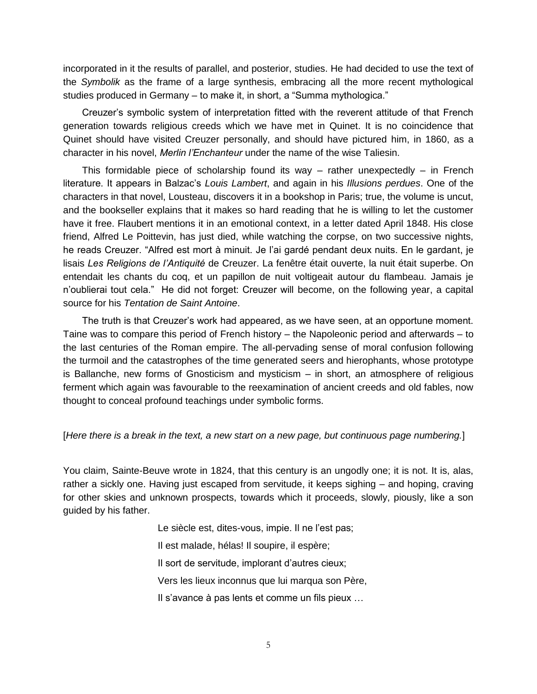incorporated in it the results of parallel, and posterior, studies. He had decided to use the text of the *Symbolik* as the frame of a large synthesis, embracing all the more recent mythological studies produced in Germany – to make it, in short, a "Summa mythologica."

Creuzer's symbolic system of interpretation fitted with the reverent attitude of that French generation towards religious creeds which we have met in Quinet. It is no coincidence that Quinet should have visited Creuzer personally, and should have pictured him, in 1860, as a character in his novel, *Merlin l'Enchanteur* under the name of the wise Taliesin.

This formidable piece of scholarship found its way  $-$  rather unexpectedly  $-$  in French literature. It appears in Balzac's *Louis Lambert*, and again in his *Illusions perdues*. One of the characters in that novel, Lousteau, discovers it in a bookshop in Paris; true, the volume is uncut, and the bookseller explains that it makes so hard reading that he is willing to let the customer have it free. Flaubert mentions it in an emotional context, in a letter dated April 1848. His close friend, Alfred Le Poittevin, has just died, while watching the corpse, on two successive nights, he reads Creuzer. "Alfred est mort à minuit. Je l'ai gardé pendant deux nuits. En le gardant, je lisais *Les Religions de l'Antiquité* de Creuzer. La fenêtre était ouverte, la nuit était superbe. On entendait les chants du coq, et un papillon de nuit voltigeait autour du flambeau. Jamais je n'oublierai tout cela." He did not forget: Creuzer will become, on the following year, a capital source for his *Tentation de Saint Antoine*.

The truth is that Creuzer's work had appeared, as we have seen, at an opportune moment. Taine was to compare this period of French history – the Napoleonic period and afterwards – to the last centuries of the Roman empire. The all-pervading sense of moral confusion following the turmoil and the catastrophes of the time generated seers and hierophants, whose prototype is Ballanche, new forms of Gnosticism and mysticism – in short, an atmosphere of religious ferment which again was favourable to the reexamination of ancient creeds and old fables, now thought to conceal profound teachings under symbolic forms.

## [*Here there is a break in the text, a new start on a new page, but continuous page numbering.*]

You claim, Sainte-Beuve wrote in 1824, that this century is an ungodly one; it is not. It is, alas, rather a sickly one. Having just escaped from servitude, it keeps sighing – and hoping, craving for other skies and unknown prospects, towards which it proceeds, slowly, piously, like a son guided by his father.

> Le siècle est, dites-vous, impie. Il ne l'est pas; Il est malade, hélas! Il soupire, il espère; Il sort de servitude, implorant d'autres cieux; Vers les lieux inconnus que lui marqua son Père, Il s'avance à pas lents et comme un fils pieux …